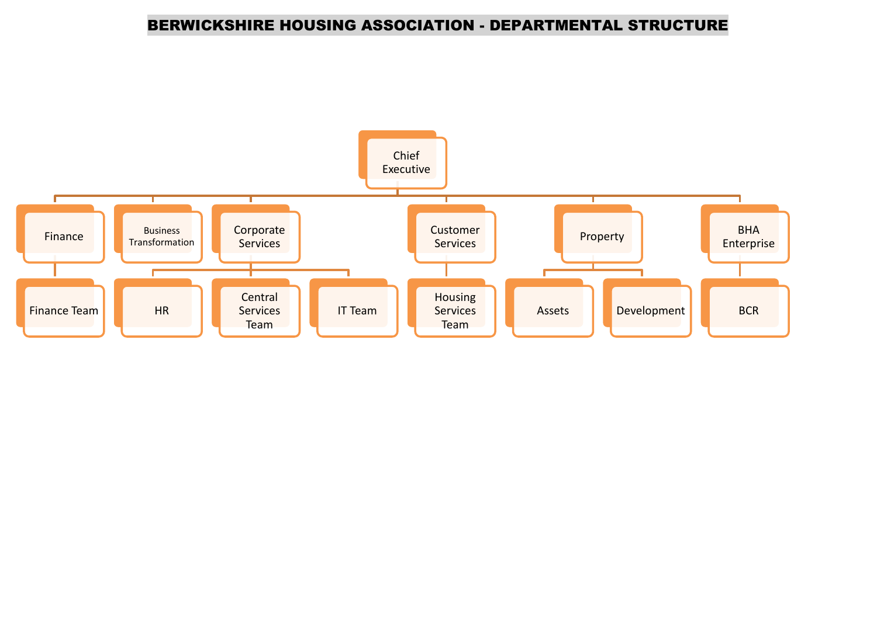### BERWICKSHIRE HOUSING ASSOCIATION - DEPARTMENTAL STRUCTURE

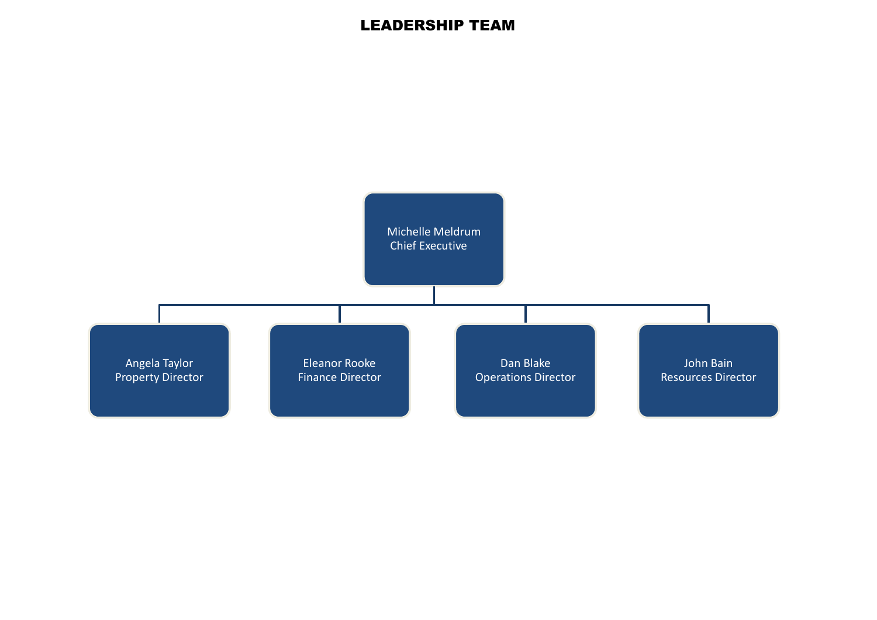### LEADERSHIP TEAM

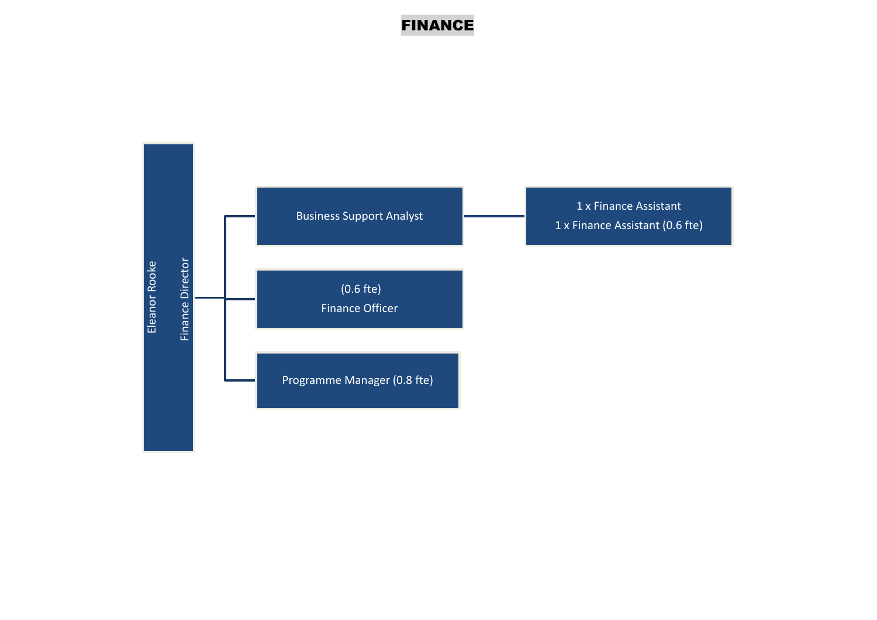# FINANCE

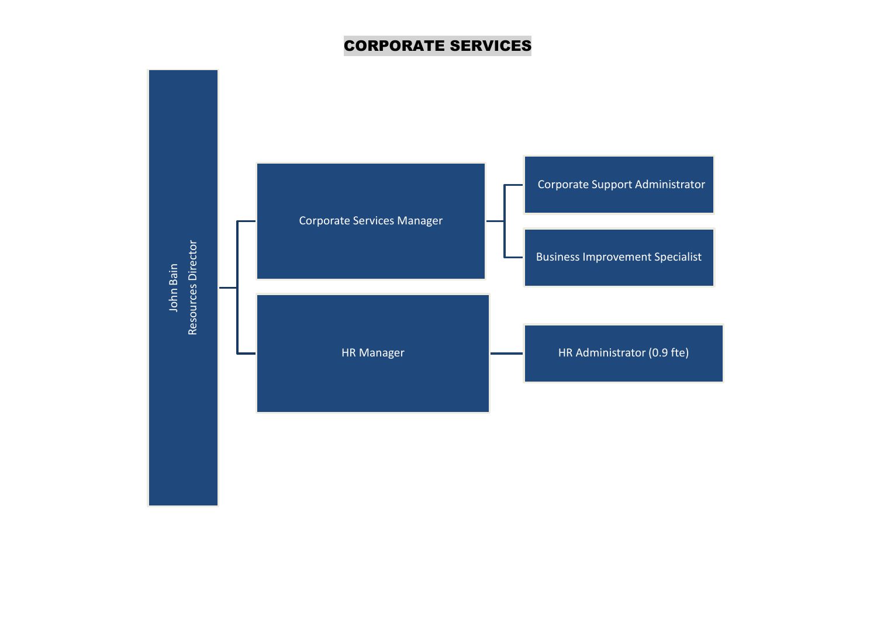# CORPORATE SERVICES

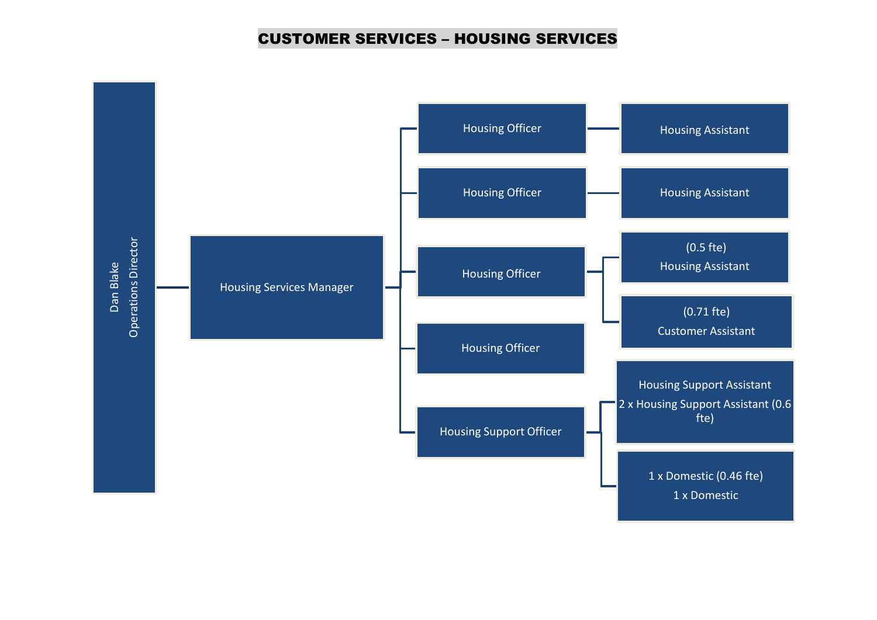#### CUSTOMER SERVICES – HOUSING SERVICES

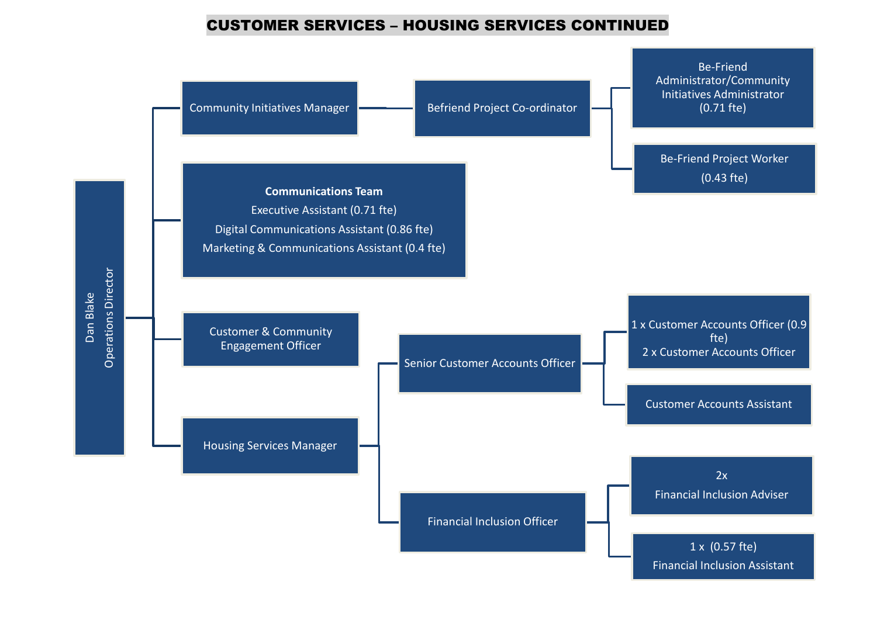#### CUSTOMER SERVICES – HOUSING SERVICES CONTINUED

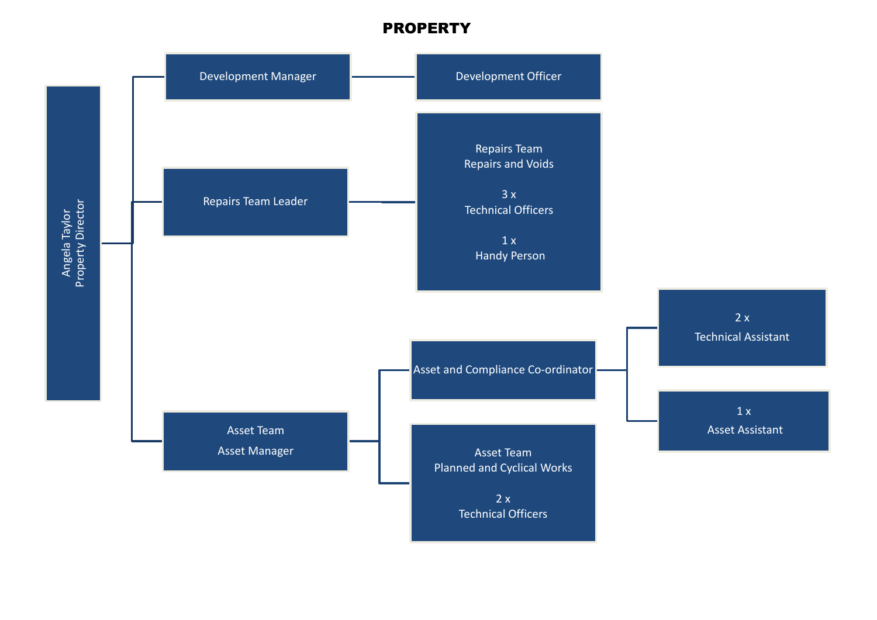### PROPERTY